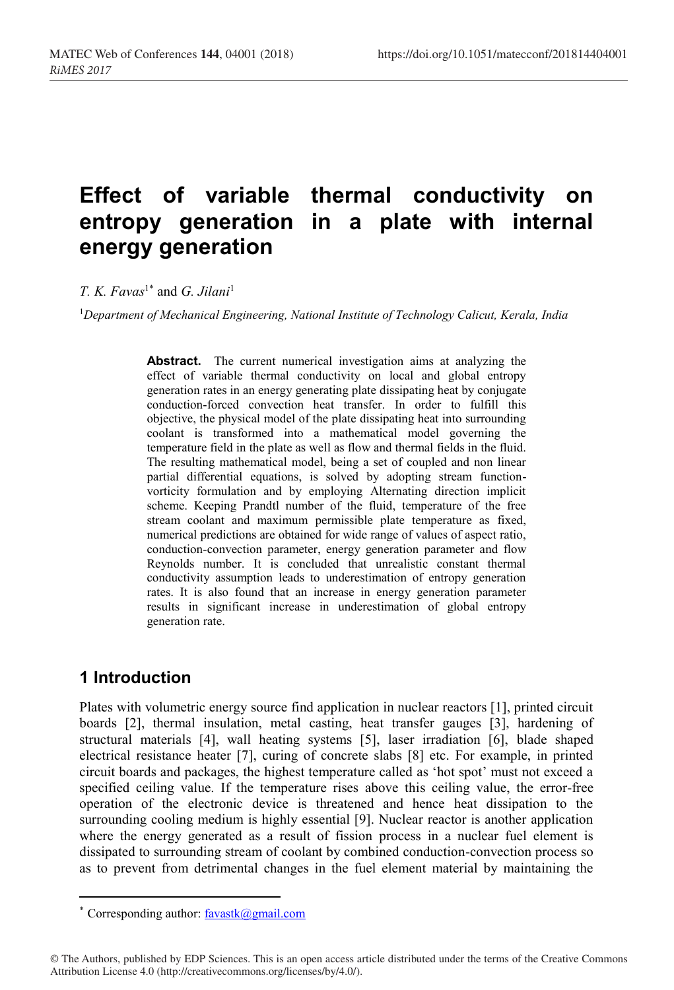# **Effect of variable thermal conductivity on entropy generation in a plate with internal energy generation**

*T. K. Favas*<sup>1\*</sup> and *G. Jilani*<sup>1</sup>

<sup>1</sup>*Department of Mechanical Engineering, National Institute of Technology Calicut, Kerala, India*

**Abstract.** The current numerical investigation aims at analyzing the effect of variable thermal conductivity on local and global entropy generation rates in an energy generating plate dissipating heat by conjugate conduction-forced convection heat transfer. In order to fulfill this objective, the physical model of the plate dissipating heat into surrounding coolant is transformed into a mathematical model governing the temperature field in the plate as well as flow and thermal fields in the fluid. The resulting mathematical model, being a set of coupled and non linear partial differential equations, is solved by adopting stream functionvorticity formulation and by employing Alternating direction implicit scheme. Keeping Prandtl number of the fluid, temperature of the free stream coolant and maximum permissible plate temperature as fixed, numerical predictions are obtained for wide range of values of aspect ratio, conduction-convection parameter, energy generation parameter and flow Reynolds number. It is concluded that unrealistic constant thermal conductivity assumption leads to underestimation of entropy generation rates. It is also found that an increase in energy generation parameter results in significant increase in underestimation of global entropy generation rate.

## **1 Introduction**

Plates with volumetric energy source find application in nuclear reactors [1], printed circuit boards [2], thermal insulation, metal casting, heat transfer gauges [3], hardening of structural materials [4], wall heating systems [5], laser irradiation [6], blade shaped electrical resistance heater [7], curing of concrete slabs [8] etc. For example, in printed circuit boards and packages, the highest temperature called as 'hot spot' must not exceed a specified ceiling value. If the temperature rises above this ceiling value, the error-free operation of the electronic device is threatened and hence heat dissipation to the surrounding cooling medium is highly essential [9]. Nuclear reactor is another application where the energy generated as a result of fission process in a nuclear fuel element is dissipated to surrounding stream of coolant by combined conduction-convection process so as to prevent from detrimental changes in the fuel element material by maintaining the

<sup>\*</sup> Corresponding author:  $favast(a)$ gmail.com

<sup>©</sup> The Authors, published by EDP Sciences. This is an open access article distributed under the terms of the Creative Commons Attribution License 4.0 (http://creativecommons.org/licenses/by/4.0/).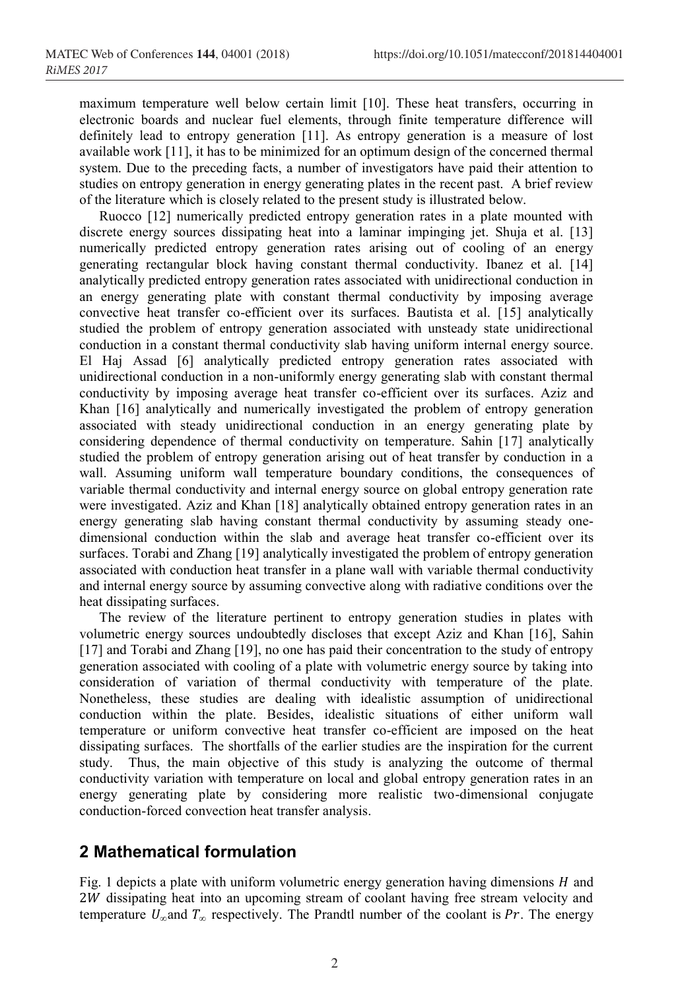maximum temperature well below certain limit [10]. These heat transfers, occurring in electronic boards and nuclear fuel elements, through finite temperature difference will definitely lead to entropy generation [11]. As entropy generation is a measure of lost available work [11], it has to be minimized for an optimum design of the concerned thermal system. Due to the preceding facts, a number of investigators have paid their attention to studies on entropy generation in energy generating plates in the recent past. A brief review of the literature which is closely related to the present study is illustrated below.

Ruocco [12] numerically predicted entropy generation rates in a plate mounted with discrete energy sources dissipating heat into a laminar impinging jet. Shuja et al. [13] numerically predicted entropy generation rates arising out of cooling of an energy generating rectangular block having constant thermal conductivity. Ibanez et al. [14] analytically predicted entropy generation rates associated with unidirectional conduction in an energy generating plate with constant thermal conductivity by imposing average convective heat transfer co-efficient over its surfaces. Bautista et al. [15] analytically studied the problem of entropy generation associated with unsteady state unidirectional conduction in a constant thermal conductivity slab having uniform internal energy source. El Haj Assad [6] analytically predicted entropy generation rates associated with unidirectional conduction in a non-uniformly energy generating slab with constant thermal conductivity by imposing average heat transfer co-efficient over its surfaces. Aziz and Khan [16] analytically and numerically investigated the problem of entropy generation associated with steady unidirectional conduction in an energy generating plate by considering dependence of thermal conductivity on temperature. Sahin [17] analytically studied the problem of entropy generation arising out of heat transfer by conduction in a wall. Assuming uniform wall temperature boundary conditions, the consequences of variable thermal conductivity and internal energy source on global entropy generation rate were investigated. Aziz and Khan [18] analytically obtained entropy generation rates in an energy generating slab having constant thermal conductivity by assuming steady onedimensional conduction within the slab and average heat transfer co-efficient over its surfaces. Torabi and Zhang [19] analytically investigated the problem of entropy generation associated with conduction heat transfer in a plane wall with variable thermal conductivity and internal energy source by assuming convective along with radiative conditions over the heat dissipating surfaces.

The review of the literature pertinent to entropy generation studies in plates with volumetric energy sources undoubtedly discloses that except Aziz and Khan [16], Sahin [17] and Torabi and Zhang [19], no one has paid their concentration to the study of entropy generation associated with cooling of a plate with volumetric energy source by taking into consideration of variation of thermal conductivity with temperature of the plate. Nonetheless, these studies are dealing with idealistic assumption of unidirectional conduction within the plate. Besides, idealistic situations of either uniform wall temperature or uniform convective heat transfer co-efficient are imposed on the heat dissipating surfaces. The shortfalls of the earlier studies are the inspiration for the current study. Thus, the main objective of this study is analyzing the outcome of thermal conductivity variation with temperature on local and global entropy generation rates in an energy generating plate by considering more realistic two-dimensional conjugate conduction-forced convection heat transfer analysis.

# **2 Mathematical formulation**

Fig. 1 depicts a plate with uniform volumetric energy generation having dimensions  $H$  and 2W dissipating heat into an upcoming stream of coolant having free stream velocity and temperature  $U_{\alpha}$  and  $T_{\alpha}$  respectively. The Prandtl number of the coolant is Pr. The energy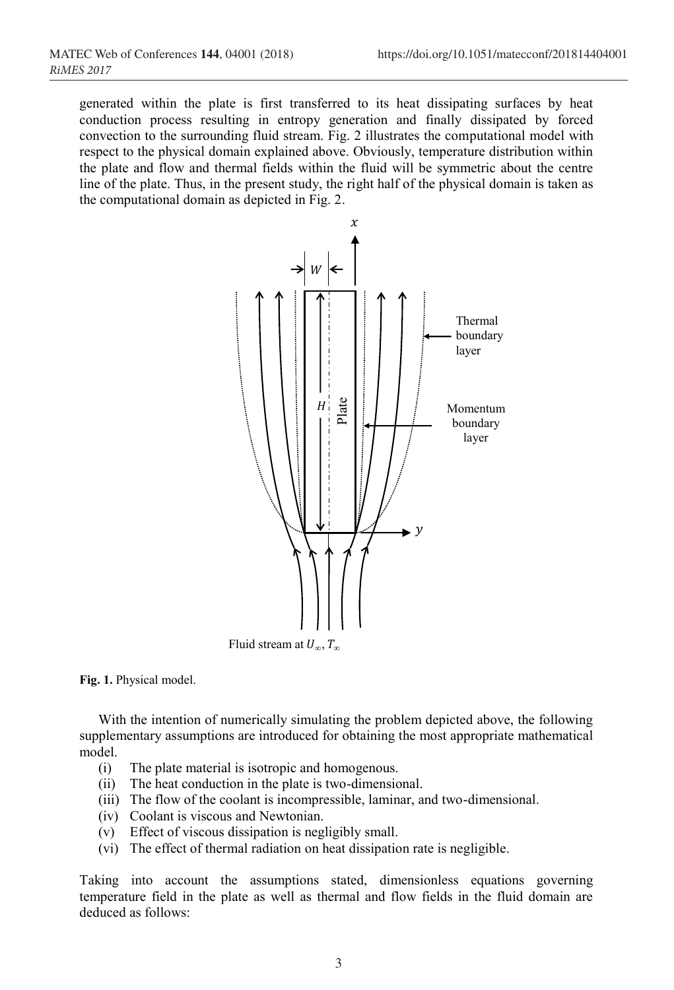generated within the plate is first transferred to its heat dissipating surfaces by heat conduction process resulting in entropy generation and finally dissipated by forced convection to the surrounding fluid stream. Fig. 2 illustrates the computational model with respect to the physical domain explained above. Obviously, temperature distribution within the plate and flow and thermal fields within the fluid will be symmetric about the centre line of the plate. Thus, in the present study, the right half of the physical domain is taken as the computational domain as depicted in Fig. 2.



**Fig. 1.** Physical model.

With the intention of numerically simulating the problem depicted above, the following supplementary assumptions are introduced for obtaining the most appropriate mathematical model.

- (i) The plate material is isotropic and homogenous.
- (ii) The heat conduction in the plate is two-dimensional.
- (iii) The flow of the coolant is incompressible, laminar, and two-dimensional.
- (iv) Coolant is viscous and Newtonian.
- (v) Effect of viscous dissipation is negligibly small.
- (vi) The effect of thermal radiation on heat dissipation rate is negligible.

Taking into account the assumptions stated, dimensionless equations governing temperature field in the plate as well as thermal and flow fields in the fluid domain are deduced as follows: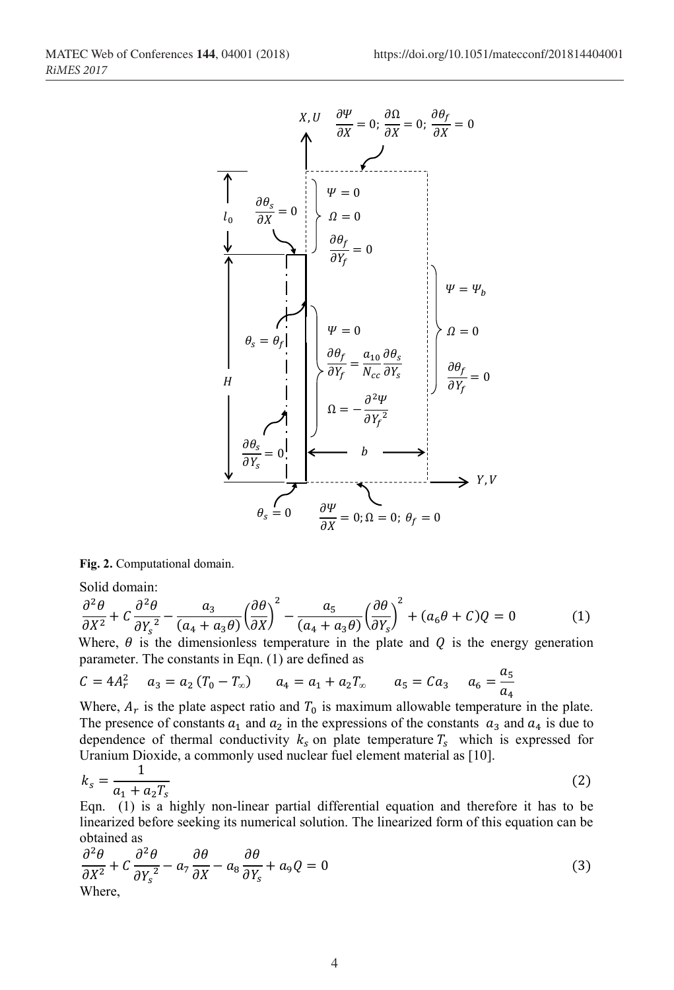

**Fig. 2.** Computational domain.

Solid domain:

$$
\frac{\partial^2 \theta}{\partial X^2} + C \frac{\partial^2 \theta}{\partial Y_s^2} - \frac{a_3}{(a_4 + a_3 \theta)} \left(\frac{\partial \theta}{\partial X}\right)^2 - \frac{a_5}{(a_4 + a_3 \theta)} \left(\frac{\partial \theta}{\partial Y_s}\right)^2 + (a_6 \theta + C)Q = 0
$$
 (1)

Where,  $\theta$  is the dimensionless temperature in the plate and  $Q$  is the energy generation parameter. The constants in Eqn. (1) are defined as

$$
C = 4A_r^2 \qquad a_3 = a_2 (T_0 - T_\infty) \qquad a_4 = a_1 + a_2 T_\infty \qquad a_5 = C a_3 \qquad a_6 = \frac{a_5}{a_4}
$$

Where,  $A_r$  is the plate aspect ratio and  $T_0$  is maximum allowable temperature in the plate. The presence of constants  $a_1$  and  $a_2$  in the expressions of the constants  $a_3$  and  $a_4$  is due to dependence of thermal conductivity  $k_s$  on plate temperature  $T_s$  which is expressed for Uranium Dioxide, a commonly used nuclear fuel element material as [10].

$$
k_s = \frac{1}{a_1 + a_2 T_s}
$$
 (2)

Eqn. (1) is a highly non-linear partial differential equation and therefore it has to be linearized before seeking its numerical solution. The linearized form of this equation can be obtained as

$$
\frac{\partial^2 \theta}{\partial X^2} + C \frac{\partial^2 \theta}{\partial Y_s^2} - a_7 \frac{\partial \theta}{\partial X} - a_8 \frac{\partial \theta}{\partial Y_s} + a_9 Q = 0
$$
\n(3)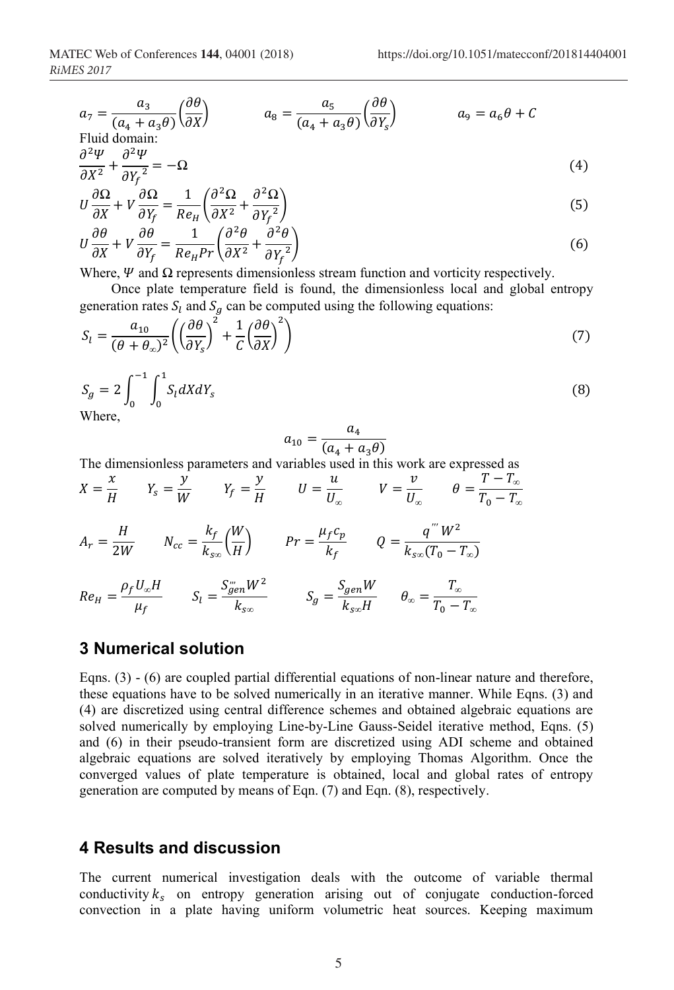$$
a_7 = \frac{a_3}{(a_4 + a_3\theta)} \left(\frac{\partial \theta}{\partial X}\right) \qquad a_8 = \frac{a_5}{(a_4 + a_3\theta)} \left(\frac{\partial \theta}{\partial Y_s}\right) \qquad a_9 = a_6\theta + C
$$
  
Fluid domain:  

$$
\frac{\partial^2 \Psi}{\partial Y_s} = 0
$$

$$
\frac{\partial X^2}{\partial X^2} + \frac{\partial Y_f^2}{\partial Y_f^2} = -\Omega
$$
\n
$$
\frac{\partial \Omega}{\partial X^2} + \frac{\partial \Omega}{\partial Y^2} = -\Omega
$$
\n(4)

$$
U\frac{\partial\Omega}{\partial X} + V\frac{\partial\Omega}{\partial Y_f} = \frac{1}{Re_H} \left(\frac{\partial^2 \Omega}{\partial X^2} + \frac{\partial^2 \Omega}{\partial Y_f^2}\right)
$$
(5)  

$$
\frac{\partial\theta}{\partial \theta} = \frac{\partial\theta}{\partial \theta} = \frac{1}{2} \left(\frac{\partial^2 \theta}{\partial X^2} + \frac{\partial^2 \Omega}{\partial Y_f^2}\right)
$$

$$
U\frac{\partial\theta}{\partial X} + V\frac{\partial\theta}{\partial Y_f} = \frac{1}{Re_H Pr} \left(\frac{\partial^2 \theta}{\partial X^2} + \frac{\partial^2 \theta}{\partial Y_f^2}\right)
$$
(6)

Where,  $\Psi$  and  $\Omega$  represents dimensionless stream function and vorticity respectively.

Once plate temperature field is found, the dimensionless local and global entropy generation rates  $S_l$  and  $S_a$  can be computed using the following equations:

$$
S_l = \frac{a_{10}}{(\theta + \theta_\infty)^2} \left( \left( \frac{\partial \theta}{\partial Y_s} \right)^2 + \frac{1}{C} \left( \frac{\partial \theta}{\partial X} \right)^2 \right) \tag{7}
$$

$$
S_g = 2 \int_0^{-1} \int_0^1 S_l dX dY_s
$$
\nWhere,

\n
$$
(8)
$$

$$
a_{10} = \frac{a_4}{(a_4 + a_3 \theta)}
$$

The dimensionless parameters and variables used in this work are expressed as

$$
X = \frac{x}{H} \qquad Y_s = \frac{y}{W} \qquad Y_f = \frac{y}{H} \qquad U = \frac{u}{U_{\infty}} \qquad V = \frac{v}{U_{\infty}} \qquad \theta = \frac{T - T_{\infty}}{T_0 - T_{\infty}}
$$
  

$$
A_r = \frac{H}{2W} \qquad N_{cc} = \frac{k_f}{k_{s\infty}} \left(\frac{W}{H}\right) \qquad Pr = \frac{\mu_f c_p}{k_f} \qquad Q = \frac{q^{\prime\prime} W^2}{k_{s\infty} (T_0 - T_{\infty})}
$$
  

$$
Re_H = \frac{\rho_f U_{\infty} H}{\mu_f} \qquad S_l = \frac{S_{g\ell m}^{\prime\prime} W^2}{k_{s\infty}} \qquad S_g = \frac{S_{g\ell m} W}{k_{s\infty} H} \qquad \theta_{\infty} = \frac{T_{\infty}}{T_0 - T_{\infty}}
$$

#### **3 Numerical solution**

Eqns.  $(3)$  -  $(6)$  are coupled partial differential equations of non-linear nature and therefore, these equations have to be solved numerically in an iterative manner. While Eqns. (3) and (4) are discretized using central difference schemes and obtained algebraic equations are solved numerically by employing Line-by-Line Gauss-Seidel iterative method, Eqns. (5) and (6) in their pseudo-transient form are discretized using ADI scheme and obtained algebraic equations are solved iteratively by employing Thomas Algorithm. Once the converged values of plate temperature is obtained, local and global rates of entropy generation are computed by means of Eqn. (7) and Eqn. (8), respectively.

## **4 Results and discussion**

The current numerical investigation deals with the outcome of variable thermal conductivity  $k<sub>s</sub>$  on entropy generation arising out of conjugate conduction-forced convection in a plate having uniform volumetric heat sources. Keeping maximum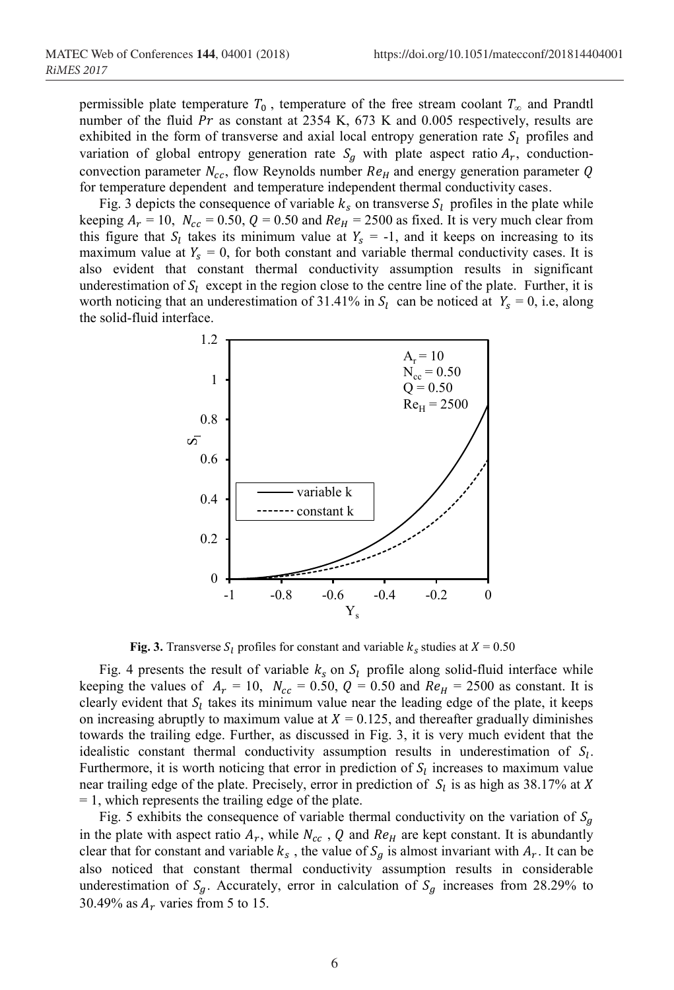permissible plate temperature  $T_0$ , temperature of the free stream coolant  $T_\infty$  and Prandtl number of the fluid  $Pr$  as constant at 2354 K, 673 K and 0.005 respectively, results are exhibited in the form of transverse and axial local entropy generation rate  $S_l$  profiles and variation of global entropy generation rate  $S<sub>q</sub>$  with plate aspect ratio  $A<sub>r</sub>$ , conductionconvection parameter  $N_{cc}$ , flow Reynolds number  $Re<sub>H</sub>$  and energy generation parameter Q for temperature dependent and temperature independent thermal conductivity cases.

Fig. 3 depicts the consequence of variable  $k_s$  on transverse  $S_l$  profiles in the plate while keeping  $A_r = 10$ ,  $N_{cc} = 0.50$ ,  $Q = 0.50$  and  $Re_H = 2500$  as fixed. It is very much clear from this figure that  $S_l$  takes its minimum value at  $Y_s = -1$ , and it keeps on increasing to its maximum value at  $Y_s = 0$ , for both constant and variable thermal conductivity cases. It is also evident that constant thermal conductivity assumption results in significant underestimation of  $S_l$  except in the region close to the centre line of the plate. Further, it is worth noticing that an underestimation of 31.41% in  $S_l$  can be noticed at  $Y_s = 0$ , i.e, along the solid-fluid interface.



**Fig. 3.** Transverse  $S_l$  profiles for constant and variable  $k_s$  studies at  $X = 0.50$ 

Fig. 4 presents the result of variable  $k_s$  on  $S_l$  profile along solid-fluid interface while keeping the values of  $A_r = 10$ ,  $N_{cc} = 0.50$ ,  $Q = 0.50$  and  $Re_H = 2500$  as constant. It is clearly evident that  $S_l$  takes its minimum value near the leading edge of the plate, it keeps on increasing abruptly to maximum value at  $X = 0.125$ , and thereafter gradually diminishes towards the trailing edge. Further, as discussed in Fig. 3, it is very much evident that the idealistic constant thermal conductivity assumption results in underestimation of  $S_l$ . Furthermore, it is worth noticing that error in prediction of  $S_l$  increases to maximum value near trailing edge of the plate. Precisely, error in prediction of  $S_l$  is as high as 38.17% at X = 1, which represents the trailing edge of the plate.

Fig. 5 exhibits the consequence of variable thermal conductivity on the variation of  $S_q$ in the plate with aspect ratio  $A_r$ , while  $N_{cc}$ , Q and  $Re_H$  are kept constant. It is abundantly clear that for constant and variable  $k_s$ , the value of  $S_g$  is almost invariant with  $A_r$ . It can be also noticed that constant thermal conductivity assumption results in considerable underestimation of  $S_q$ . Accurately, error in calculation of  $S_q$  increases from 28.29% to 30.49% as  $A_r$  varies from 5 to 15.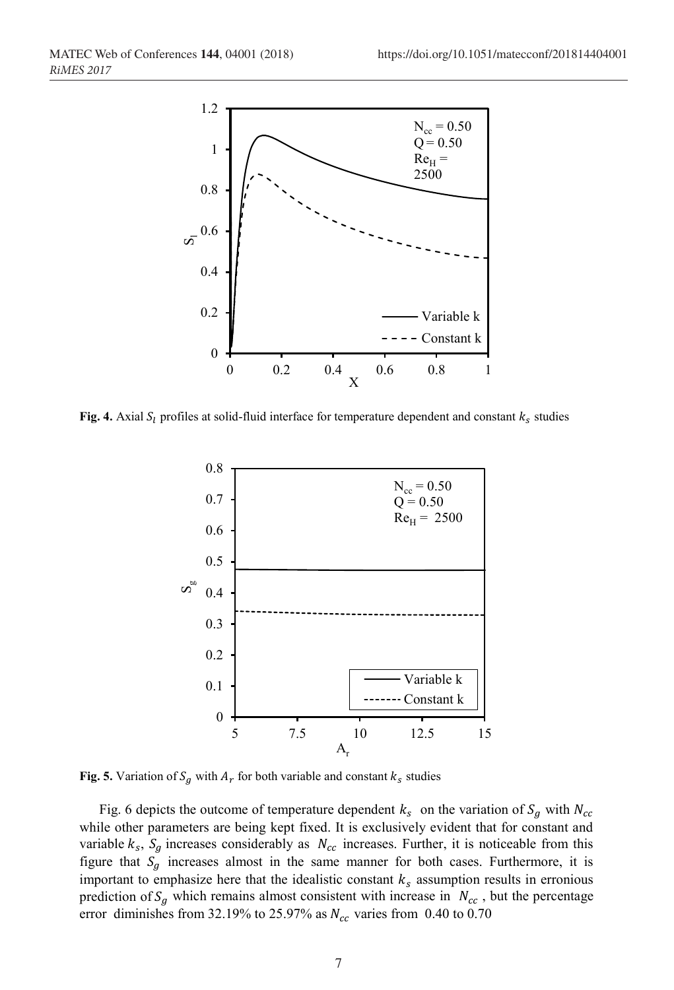

**Fig. 4.** Axial  $S_l$  profiles at solid-fluid interface for temperature dependent and constant  $k_s$  studies



**Fig. 5.** Variation of  $S_q$  with  $A_r$  for both variable and constant  $k_s$  studies

Fig. 6 depicts the outcome of temperature dependent  $k_s$  on the variation of  $S_g$  with  $N_{cc}$ while other parameters are being kept fixed. It is exclusively evident that for constant and variable  $k_s$ ,  $S_g$  increases considerably as  $N_{cc}$  increases. Further, it is noticeable from this figure that  $S_q$  increases almost in the same manner for both cases. Furthermore, it is important to emphasize here that the idealistic constant  $k_s$  assumption results in erronious prediction of  $S_q$  which remains almost consistent with increase in  $N_{cc}$ , but the percentage error diminishes from 32.19% to 25.97% as  $N_{cc}$  varies from 0.40 to 0.70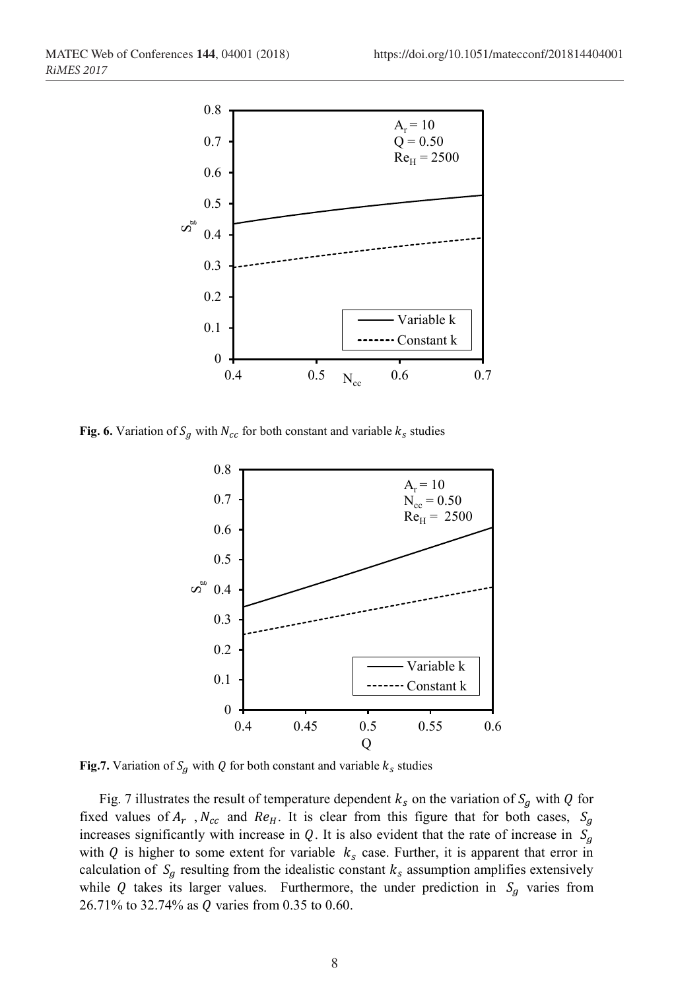

**Fig. 6.** Variation of  $S_g$  with  $N_{cc}$  for both constant and variable  $k_s$  studies



**Fig.7.** Variation of  $S_g$  with Q for both constant and variable  $k_s$  studies

Fig. 7 illustrates the result of temperature dependent  $k_s$  on the variation of  $S_q$  with Q for fixed values of  $A_r$ ,  $N_{cc}$  and  $Re_H$ . It is clear from this figure that for both cases,  $S_g$ increases significantly with increase in Q. It is also evident that the rate of increase in  $S<sub>g</sub>$ with Q is higher to some extent for variable  $k<sub>s</sub>$  case. Further, it is apparent that error in calculation of  $S<sub>g</sub>$  resulting from the idealistic constant  $k<sub>s</sub>$  assumption amplifies extensively while Q takes its larger values. Furthermore, the under prediction in  $S<sub>g</sub>$  varies from 26.71% to 32.74% as  $Q$  varies from 0.35 to 0.60.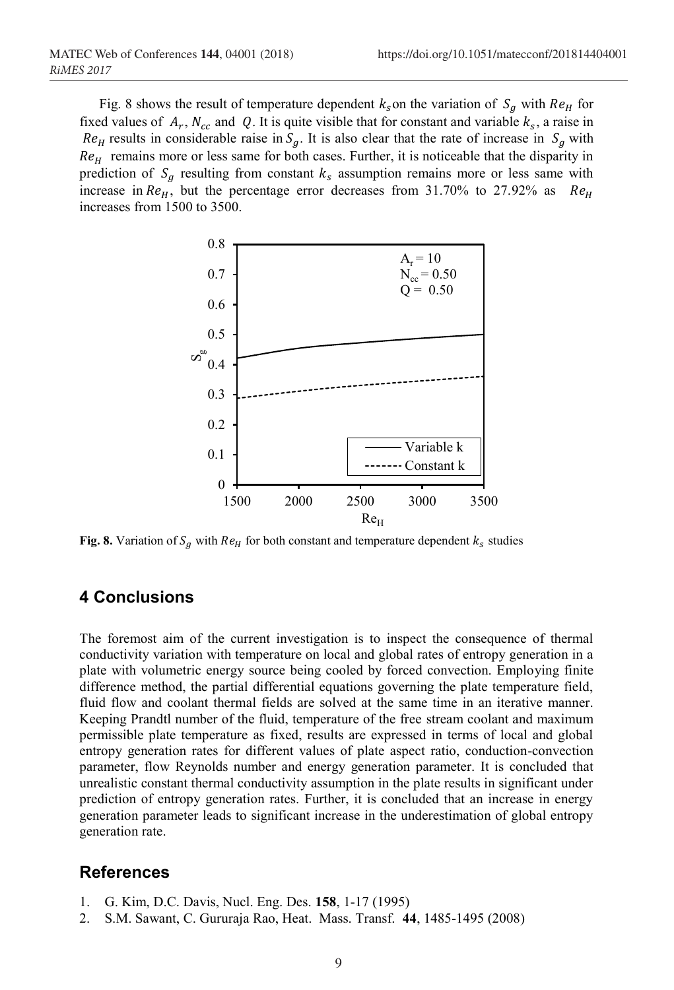Fig. 8 shows the result of temperature dependent  $k<sub>s</sub>$  on the variation of  $S<sub>a</sub>$  with  $Re<sub>H</sub>$  for fixed values of  $A_r$ ,  $N_{cc}$  and Q. It is quite visible that for constant and variable  $k_s$ , a raise in  $Re<sub>H</sub>$  results in considerable raise in  $S<sub>g</sub>$ . It is also clear that the rate of increase in  $S<sub>g</sub>$  with  $Re<sub>H</sub>$  remains more or less same for both cases. Further, it is noticeable that the disparity in prediction of  $S_q$  resulting from constant  $k_s$  assumption remains more or less same with increase in  $Re_H$ , but the percentage error decreases from 31.70% to 27.92% as  $Re_H$ increases from 1500 to 3500.



**Fig. 8.** Variation of  $S_a$  with  $Re_H$  for both constant and temperature dependent  $k_s$  studies

# **4 Conclusions**

The foremost aim of the current investigation is to inspect the consequence of thermal conductivity variation with temperature on local and global rates of entropy generation in a plate with volumetric energy source being cooled by forced convection. Employing finite difference method, the partial differential equations governing the plate temperature field, fluid flow and coolant thermal fields are solved at the same time in an iterative manner. Keeping Prandtl number of the fluid, temperature of the free stream coolant and maximum permissible plate temperature as fixed, results are expressed in terms of local and global entropy generation rates for different values of plate aspect ratio, conduction-convection parameter, flow Reynolds number and energy generation parameter. It is concluded that unrealistic constant thermal conductivity assumption in the plate results in significant under prediction of entropy generation rates. Further, it is concluded that an increase in energy generation parameter leads to significant increase in the underestimation of global entropy generation rate.

## **References**

- 1. G. Kim, D.C. Davis, Nucl. Eng. Des. **158**, 1-17 (1995)
- 2. S.M. Sawant, C. Gururaja Rao, Heat. Mass. Transf. **44**, 1485-1495 (2008)